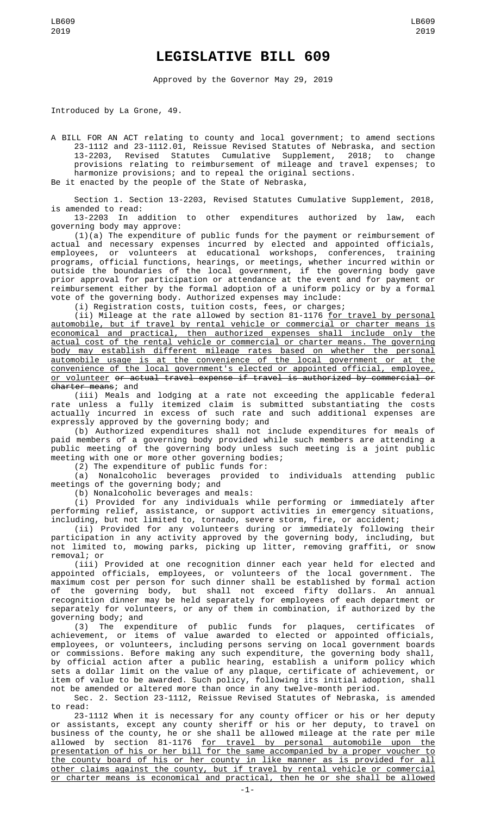## **LEGISLATIVE BILL 609**

Approved by the Governor May 29, 2019

Introduced by La Grone, 49.

A BILL FOR AN ACT relating to county and local government; to amend sections 23-1112 and 23-1112.01, Reissue Revised Statutes of Nebraska, and section 13-2203, Revised Statutes Cumulative Supplement, 2018; to change provisions relating to reimbursement of mileage and travel expenses; to harmonize provisions; and to repeal the original sections.

Be it enacted by the people of the State of Nebraska,

Section 1. Section 13-2203, Revised Statutes Cumulative Supplement, 2018, is amended to read:

13-2203 In addition to other expenditures authorized by law, each governing body may approve:

(1)(a) The expenditure of public funds for the payment or reimbursement of actual and necessary expenses incurred by elected and appointed officials, employees, or volunteers at educational workshops, conferences, training programs, official functions, hearings, or meetings, whether incurred within or outside the boundaries of the local government, if the governing body gave prior approval for participation or attendance at the event and for payment or reimbursement either by the formal adoption of a uniform policy or by a formal vote of the governing body. Authorized expenses may include:

(i) Registration costs, tuition costs, fees, or charges;

(ii) Mileage at the rate allowed by section 81-1176 <u>for travel by personal</u> automobile, but if travel by rental vehicle or commercial or charter means is economical and practical, then authorized expenses shall include only the actual cost of the rental vehicle or commercial or charter means. The governing body may establish different mileage rates based on whether the personal automobile usage is at the convenience of the local government or at the convenience of the local government's elected or appointed official, employee, or volunteer or actual travel expense if travel is authorized by commercial or charter means; and

(iii) Meals and lodging at a rate not exceeding the applicable federal rate unless a fully itemized claim is submitted substantiating the costs actually incurred in excess of such rate and such additional expenses are expressly approved by the governing body; and

(b) Authorized expenditures shall not include expenditures for meals of paid members of a governing body provided while such members are attending a public meeting of the governing body unless such meeting is a joint public meeting with one or more other governing bodies;

(2) The expenditure of public funds for:

(a) Nonalcoholic beverages provided to individuals attending public meetings of the governing body; and

(b) Nonalcoholic beverages and meals:

(i) Provided for any individuals while performing or immediately after performing relief, assistance, or support activities in emergency situations, including, but not limited to, tornado, severe storm, fire, or accident;

(ii) Provided for any volunteers during or immediately following their participation in any activity approved by the governing body, including, but not limited to, mowing parks, picking up litter, removing graffiti, or snow removal; or

(iii) Provided at one recognition dinner each year held for elected and appointed officials, employees, or volunteers of the local government. The maximum cost per person for such dinner shall be established by formal action of the governing body, but shall not exceed fifty dollars. An annual recognition dinner may be held separately for employees of each department or separately for volunteers, or any of them in combination, if authorized by the governing body; and

(3) The expenditure of public funds for plaques, certificates of achievement, or items of value awarded to elected or appointed officials, employees, or volunteers, including persons serving on local government boards or commissions. Before making any such expenditure, the governing body shall, by official action after a public hearing, establish a uniform policy which sets a dollar limit on the value of any plaque, certificate of achievement, or item of value to be awarded. Such policy, following its initial adoption, shall not be amended or altered more than once in any twelve-month period.

Sec. 2. Section 23-1112, Reissue Revised Statutes of Nebraska, is amended to read:

23-1112 When it is necessary for any county officer or his or her deputy or assistants, except any county sheriff or his or her deputy, to travel on business of the county, he or she shall be allowed mileage at the rate per mile allowed by section 81-1176 <u>for travel by personal automobile upon the</u> presentation of his or her bill for the same accompanied by a proper voucher to the county board of his or her county in like manner as is provided for all other claims against the county, but if travel by rental vehicle or commercial or charter means is economical and practical, then he or she shall be allowed